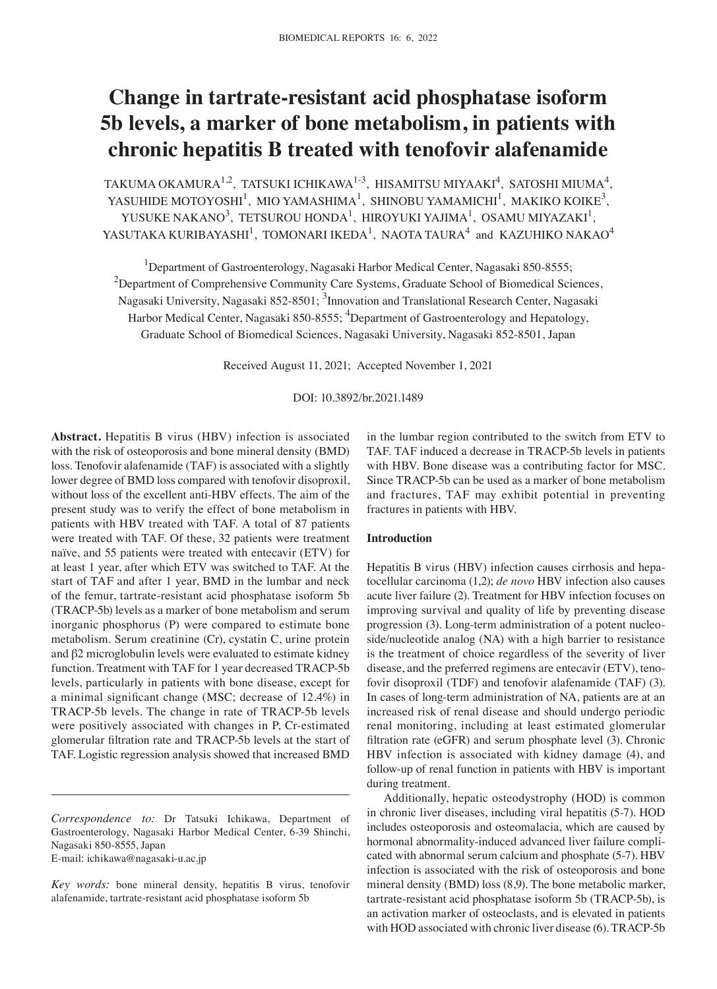# **Change in tartrate‑resistant acid phosphatase isoform 5b levels, a marker of bone metabolism, in patients with chronic hepatitis B treated with tenofovir alafenamide**

TAKUMA OKAMURA $^{1,2}$ , TATSUKI ICHIKAWA $^{1,3}$ , HISAMITSU MIYAAKI $^{4}$ , SATOSHI MIUMA $^{4}$ , YASUHIDE MOTOYOSHI<sup>1</sup>, MIO YAMASHIMA<sup>1</sup>, SHINOBU YAMAMICHI<sup>1</sup>, MAKIKO KOIKE<sup>3</sup>, YUSUKE NAKANO<sup>3</sup>, TETSUROU HONDA<sup>1</sup>, HIROYUKI YAJIMA<sup>1</sup>, OSAMU MIYAZAKI<sup>1</sup>, YASUTAKA KURIBAYASHI $^1$ , TOMONARI IKEDA $^1$ , NAOTA TAURA $^4$  and KAZUHIKO NAKAO $^4$ 

<sup>1</sup>Department of Gastroenterology, Nagasaki Harbor Medical Center, Nagasaki 850-8555;  $2$ Department of Comprehensive Community Care Systems, Graduate School of Biomedical Sciences, Nagasaki University, Nagasaki 852-8501; <sup>3</sup>Innovation and Translational Research Center, Nagasaki Harbor Medical Center, Nagasaki 850-8555; <sup>4</sup>Department of Gastroenterology and Hepatology, Graduate School of Biomedical Sciences, Nagasaki University, Nagasaki 852‑8501, Japan

Received August 11, 2021; Accepted November 1, 2021

#### DOI: 10.3892/br.2021.1489

**Abstract.** Hepatitis B virus (HBV) infection is associated with the risk of osteoporosis and bone mineral density (BMD) loss. Tenofovir alafenamide (TAF) is associated with a slightly lower degree of BMD loss compared with tenofovir disoproxil, without loss of the excellent anti-HBV effects. The aim of the present study was to verify the effect of bone metabolism in patients with HBV treated with TAF. A total of 87 patients were treated with TAF. Of these, 32 patients were treatment naïve, and 55 patients were treated with entecavir (ETV) for at least 1 year, after which ETV was switched to TAF. At the start of TAF and after 1 year, BMD in the lumbar and neck of the femur, tartrate‑resistant acid phosphatase isoform 5b (TRACP‑5b) levels as a marker of bone metabolism and serum inorganic phosphorus (P) were compared to estimate bone metabolism. Serum creatinine (Cr), cystatin C, urine protein and β2 microglobulin levels were evaluated to estimate kidney function. Treatment with TAF for 1 year decreased TRACP-5b levels, particularly in patients with bone disease, except for a minimal significant change (MSC; decrease of 12.4%) in TRACP‑5b levels. The change in rate of TRACP‑5b levels were positively associated with changes in P, Cr-estimated glomerular filtration rate and TRACP‑5b levels at the start of TAF. Logistic regression analysis showed that increased BMD

in the lumbar region contributed to the switch from ETV to TAF. TAF induced a decrease in TRACP‑5b levels in patients with HBV. Bone disease was a contributing factor for MSC. Since TRACP‑5b can be used as a marker of bone metabolism and fractures, TAF may exhibit potential in preventing fractures in patients with HBV.

### **Introduction**

Hepatitis B virus (HBV) infection causes cirrhosis and hepatocellular carcinoma (1,2); *de novo* HBV infection also causes acute liver failure (2). Treatment for HBV infection focuses on improving survival and quality of life by preventing disease progression (3). Long-term administration of a potent nucleoside/nucleotide analog (NA) with a high barrier to resistance is the treatment of choice regardless of the severity of liver disease, and the preferred regimens are entecavir (ETV), tenofovir disoproxil (TDF) and tenofovir alafenamide (TAF) (3). In cases of long‑term administration of NA, patients are at an increased risk of renal disease and should undergo periodic renal monitoring, including at least estimated glomerular filtration rate (eGFR) and serum phosphate level (3). Chronic HBV infection is associated with kidney damage (4), and follow‑up of renal function in patients with HBV is important during treatment.

Additionally, hepatic osteodystrophy (HOD) is common in chronic liver diseases, including viral hepatitis (5‑7). HOD includes osteoporosis and osteomalacia, which are caused by hormonal abnormality-induced advanced liver failure complicated with abnormal serum calcium and phosphate (5‑7). HBV infection is associated with the risk of osteoporosis and bone mineral density (BMD) loss (8,9). The bone metabolic marker, tartrate‑resistant acid phosphatase isoform 5b (TRACP‑5b), is an activation marker of osteoclasts, and is elevated in patients with HOD associated with chronic liver disease (6). TRACP-5b

*Correspondence to:* Dr Tatsuki Ichikawa, Department of Gastroenterology, Nagasaki Harbor Medical Center, 6‑39 Shinchi, Nagasaki 850‑8555, Japan E‑mail: ichikawa@nagasaki‑u.ac.jp

*Key words:* bone mineral density, hepatitis B virus, tenofovir alafenamide, tartrate‑resistant acid phosphatase isoform 5b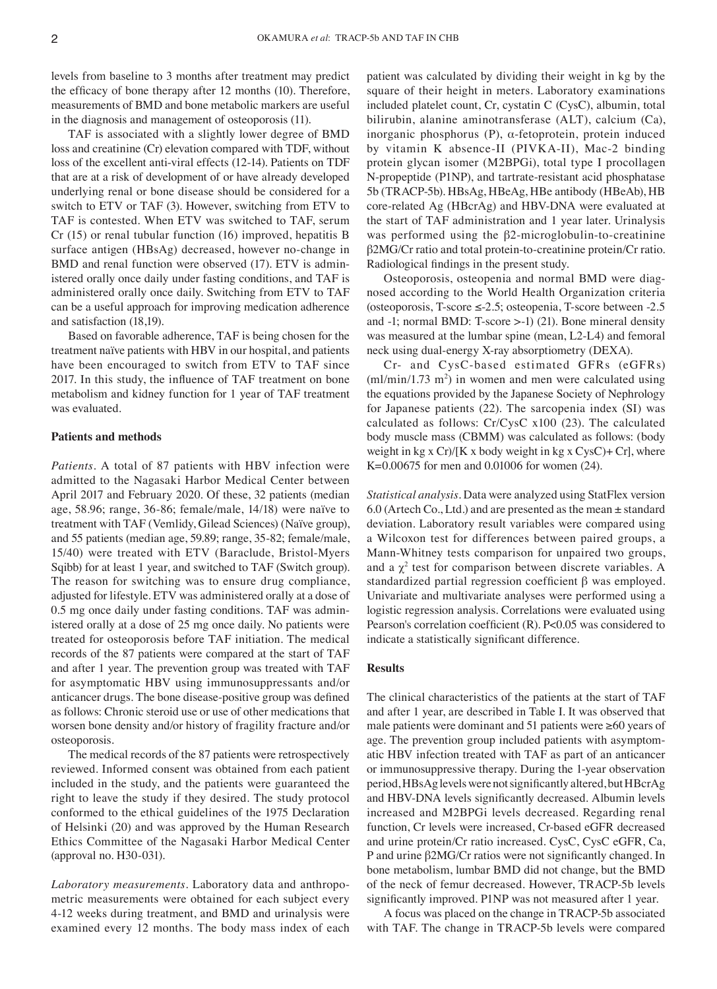levels from baseline to 3 months after treatment may predict the efficacy of bone therapy after 12 months (10). Therefore, measurements of BMD and bone metabolic markers are useful in the diagnosis and management of osteoporosis (11).

TAF is associated with a slightly lower degree of BMD loss and creatinine (Cr) elevation compared with TDF, without loss of the excellent anti-viral effects (12-14). Patients on TDF that are at a risk of development of or have already developed underlying renal or bone disease should be considered for a switch to ETV or TAF (3). However, switching from ETV to TAF is contested. When ETV was switched to TAF, serum Cr (15) or renal tubular function (16) improved, hepatitis B surface antigen (HBsAg) decreased, however no‑change in BMD and renal function were observed (17). ETV is administered orally once daily under fasting conditions, and TAF is administered orally once daily. Switching from ETV to TAF can be a useful approach for improving medication adherence and satisfaction (18,19).

Based on favorable adherence, TAF is being chosen for the treatment naïve patients with HBV in our hospital, and patients have been encouraged to switch from ETV to TAF since 2017. In this study, the influence of TAF treatment on bone metabolism and kidney function for 1 year of TAF treatment was evaluated.

# **Patients and methods**

*Patients.* A total of 87 patients with HBV infection were admitted to the Nagasaki Harbor Medical Center between April 2017 and February 2020. Of these, 32 patients (median age, 58.96; range, 36‑86; female/male, 14/18) were naïve to treatment with TAF (Vemlidy, Gilead Sciences) (Naïve group), and 55 patients (median age, 59.89; range, 35‑82; female/male, 15/40) were treated with ETV (Baraclude, Bristol‑Myers Sqibb) for at least 1 year, and switched to TAF (Switch group). The reason for switching was to ensure drug compliance, adjusted for lifestyle. ETV was administered orally at a dose of 0.5 mg once daily under fasting conditions. TAF was administered orally at a dose of 25 mg once daily. No patients were treated for osteoporosis before TAF initiation. The medical records of the 87 patients were compared at the start of TAF and after 1 year. The prevention group was treated with TAF for asymptomatic HBV using immunosuppressants and/or anticancer drugs. The bone disease‑positive group was defined as follows: Chronic steroid use or use of other medications that worsen bone density and/or history of fragility fracture and/or osteoporosis.

The medical records of the 87 patients were retrospectively reviewed. Informed consent was obtained from each patient included in the study, and the patients were guaranteed the right to leave the study if they desired. The study protocol conformed to the ethical guidelines of the 1975 Declaration of Helsinki (20) and was approved by the Human Research Ethics Committee of the Nagasaki Harbor Medical Center (approval no. H30‑031).

*Laboratory measurements.* Laboratory data and anthropo‑ metric measurements were obtained for each subject every 4‑12 weeks during treatment, and BMD and urinalysis were examined every 12 months. The body mass index of each

patient was calculated by dividing their weight in kg by the square of their height in meters. Laboratory examinations included platelet count, Cr, cystatin C (CysC), albumin, total bilirubin, alanine aminotransferase (ALT), calcium (Ca), inorganic phosphorus  $(P)$ ,  $\alpha$ -fetoprotein, protein induced by vitamin K absence‑II (PIVKA‑II), Mac‑2 binding protein glycan isomer (M2BPGi), total type I procollagen N‑propeptide (P1NP), and tartrate‑resistant acid phosphatase 5b (TRACP‑5b). HBsAg, HBeAg, HBe antibody (HBeAb), HB core‑related Ag (HBcrAg) and HBV‑DNA were evaluated at the start of TAF administration and 1 year later. Urinalysis was performed using the  $\beta$ 2-microglobulin-to-creatinine β2MG/Cr ratio and total protein‑to‑creatinine protein/Cr ratio. Radiological findings in the present study.

Osteoporosis, osteopenia and normal BMD were diagnosed according to the World Health Organization criteria (osteoporosis, T‑score ≤‑2.5; osteopenia, T‑score between ‑2.5 and  $-1$ ; normal BMD: T-score  $>$ -1) (21). Bone mineral density was measured at the lumbar spine (mean, L2-L4) and femoral neck using dual‑energy X‑ray absorptiometry (DEXA).

Cr‑ and CysC‑based estimated GFRs (eGFRs)  $(m1/min/1.73 \text{ m}^2)$  in women and men were calculated using the equations provided by the Japanese Society of Nephrology for Japanese patients (22). The sarcopenia index (SI) was calculated as follows: Cr/CysC x100 (23). The calculated body muscle mass (CBMM) was calculated as follows: (body weight in kg x  $Cr$ /[K x body weight in kg x  $C$ ys $C$ )+  $Cr$ ], where K=0.00675 for men and 0.01006 for women (24).

*Statistical analysis.* Data were analyzed using StatFlex version 6.0 (Artech Co., Ltd.) and are presented as the mean  $\pm$  standard deviation. Laboratory result variables were compared using a Wilcoxon test for differences between paired groups, a Mann‑Whitney tests comparison for unpaired two groups, and a  $\chi^2$  test for comparison between discrete variables. A standardized partial regression coefficient β was employed. Univariate and multivariate analyses were performed using a logistic regression analysis. Correlations were evaluated using Pearson's correlation coefficient (R). P<0.05 was considered to indicate a statistically significant difference.

#### **Results**

The clinical characteristics of the patients at the start of TAF and after 1 year, are described in Table I. It was observed that male patients were dominant and 51 patients were ≥60 years of age. The prevention group included patients with asymptomatic HBV infection treated with TAF as part of an anticancer or immunosuppressive therapy. During the 1‑year observation period, HBsAg levels were not significantly altered, but HBcrAg and HBV‑DNA levels significantly decreased. Albumin levels increased and M2BPGi levels decreased. Regarding renal function, Cr levels were increased, Cr‑based eGFR decreased and urine protein/Cr ratio increased. CysC, CysC eGFR, Ca, P and urine β2MG/Cr ratios were not significantly changed. In bone metabolism, lumbar BMD did not change, but the BMD of the neck of femur decreased. However, TRACP‑5b levels significantly improved. P1NP was not measured after 1 year.

A focus was placed on the change in TRACP‑5b associated with TAF. The change in TRACP‑5b levels were compared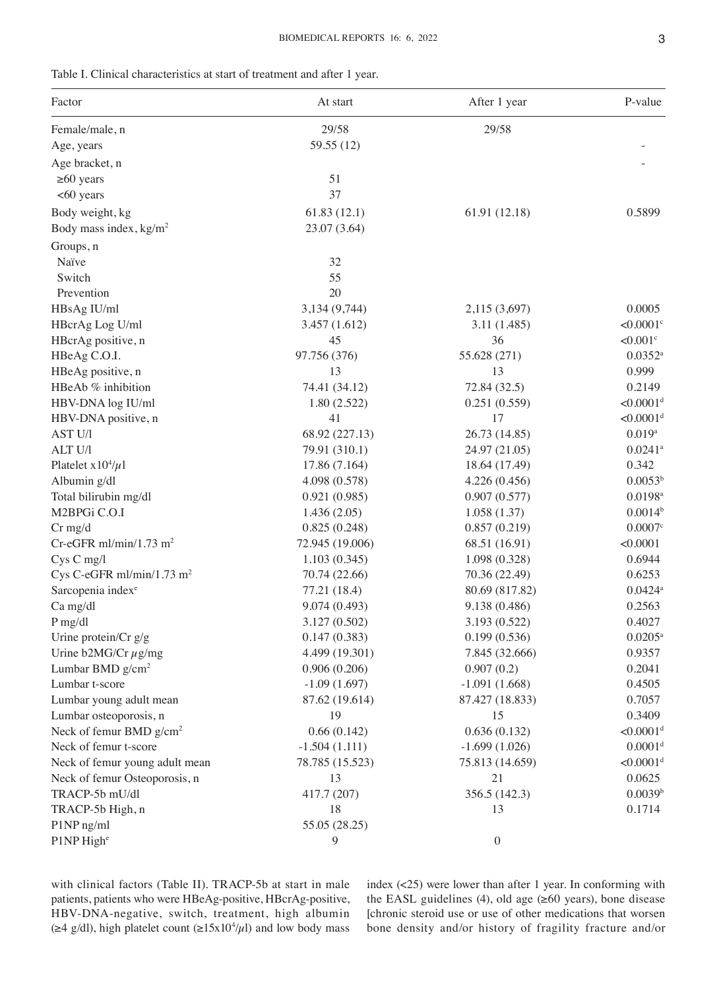| Factor                                | At start        | After 1 year     | P-value                 |
|---------------------------------------|-----------------|------------------|-------------------------|
| Female/male, n                        | 29/58           | 29/58            |                         |
| Age, years                            | 59.55 (12)      |                  |                         |
| Age bracket, n                        |                 |                  |                         |
| $\geq 60$ years                       | 51              |                  |                         |
| <60 years                             | 37              |                  |                         |
| Body weight, kg                       | 61.83(12.1)     | 61.91 (12.18)    | 0.5899                  |
| Body mass index, $kg/m2$              | 23.07 (3.64)    |                  |                         |
| Groups, n                             |                 |                  |                         |
| Naïve                                 | 32              |                  |                         |
| Switch                                | 55              |                  |                         |
| Prevention                            | 20              |                  |                         |
| HBsAg IU/ml                           | 3,134 (9,744)   | 2,115 (3,697)    | 0.0005                  |
| HBcrAg Log U/ml                       | 3.457(1.612)    | 3.11 (1.485)     | $< 0.0001$ <sup>c</sup> |
| HBcrAg positive, n                    | 45              | 36               | $< 0.001$ <sup>c</sup>  |
| HBeAg C.O.I.                          | 97.756 (376)    | 55.628 (271)     | $0.0352^a$              |
| HBeAg positive, n                     | 13              | 13               | 0.999                   |
| HBeAb % inhibition                    | 74.41 (34.12)   | 72.84 (32.5)     | 0.2149                  |
| HBV-DNA log IU/ml                     | 1.80(2.522)     | 0.251(0.559)     | $< 0.0001$ <sup>d</sup> |
| HBV-DNA positive, n                   | 41              | 17               | $< 0.0001$ <sup>d</sup> |
| AST U/1                               | 68.92 (227.13)  | 26.73 (14.85)    | $0.019$ <sup>a</sup>    |
| ALT U/l                               | 79.91 (310.1)   | 24.97 (21.05)    | $0.0241$ <sup>a</sup>   |
| Platelet $x10^4/\mu$ 1                | 17.86 (7.164)   | 18.64 (17.49)    | 0.342                   |
| Albumin g/dl                          | 4.098 (0.578)   | 4.226(0.456)     | 0.0053 <sup>b</sup>     |
| Total bilirubin mg/dl                 | 0.921(0.985)    | 0.907(0.577)     | $0.0198$ <sup>a</sup>   |
| M2BPGi C.O.I                          | 1.436(2.05)     | 1.058(1.37)      | 0.0014 <sup>b</sup>     |
| $Cr$ mg/d                             | 0.825(0.248)    | 0.857(0.219)     | $0.0007$ c              |
| Cr-eGFR ml/min/1.73 m <sup>2</sup>    | 72.945 (19.006) | 68.51 (16.91)    | < 0.0001                |
| Cys C mg/l                            | 1.103(0.345)    | 1.098(0.328)     | 0.6944                  |
| Cys C-eGFR ml/min/1.73 m <sup>2</sup> | 70.74 (22.66)   | 70.36 (22.49)    | 0.6253                  |
| Sarcopenia index <sup>e</sup>         | 77.21 (18.4)    | 80.69 (817.82)   | $0.0424$ <sup>a</sup>   |
| Ca mg/dl                              | 9.074 (0.493)   | 9.138 (0.486)    | 0.2563                  |
| $P$ mg/dl                             | 3.127 (0.502)   | 3.193 (0.522)    | 0.4027                  |
| Urine protein/ $Cr$ g/g               | 0.147(0.383)    | 0.199(0.536)     | $0.0205^{\rm a}$        |
| Urine b2MG/Cr $\mu$ g/mg              | 4.499 (19.301)  | 7.845 (32.666)   | 0.9357                  |
| Lumbar BMD $g/cm2$                    | 0.906(0.206)    | 0.907(0.2)       | 0.2041                  |
| Lumbar t-score                        | $-1.09(1.697)$  | $-1.091(1.668)$  | 0.4505                  |
| Lumbar young adult mean               | 87.62 (19.614)  | 87.427 (18.833)  | 0.7057                  |
| Lumbar osteoporosis, n                | 19              | 15               | 0.3409                  |
| Neck of femur BMD g/cm <sup>2</sup>   | 0.66(0.142)     | 0.636(0.132)     | $< 0.0001$ <sup>d</sup> |
| Neck of femur t-score                 | $-1.504(1.111)$ | $-1.699(1.026)$  | 0.0001 <sup>d</sup>     |
| Neck of femur young adult mean        | 78.785 (15.523) | 75.813 (14.659)  | $< 0.0001$ <sup>d</sup> |
| Neck of femur Osteoporosis, n         | 13              | 21               | 0.0625                  |
| TRACP-5b mU/dl                        | 417.7 (207)     | 356.5 (142.3)    | 0.0039 <sup>b</sup>     |
| TRACP-5b High, n                      | 18              | 13               | 0.1714                  |
| P1NP ng/ml                            | 55.05 (28.25)   |                  |                         |
| P1NP Highe                            | 9               | $\boldsymbol{0}$ |                         |

with clinical factors (Table II). TRACP‑5b at start in male patients, patients who were HBeAg‑positive, HBcrAg‑positive, HBV‑DNA‑negative, switch, treatment, high albumin ( $\geq$ 4 g/dl), high platelet count ( $\geq$ 15x10<sup>4</sup>/ $\mu$ l) and low body mass

index (<25) were lower than after 1 year. In conforming with the EASL guidelines (4), old age (≥60 years), bone disease [chronic steroid use or use of other medications that worsen bone density and/or history of fragility fracture and/or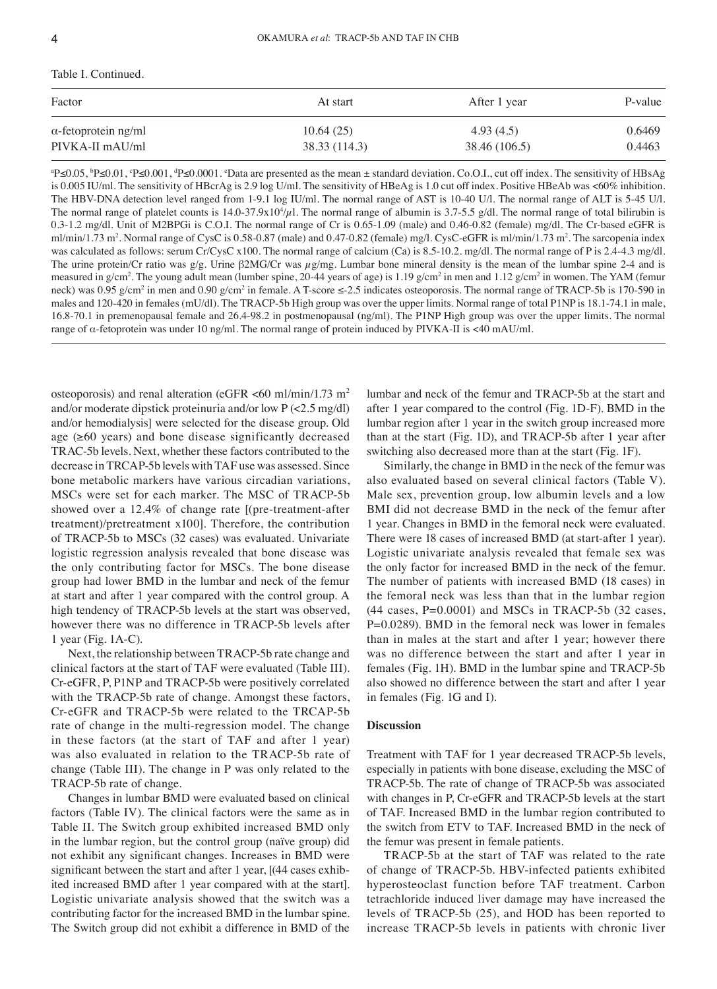## Table I. Continued.

| Factor                      | At start      | After 1 year  | P-value |
|-----------------------------|---------------|---------------|---------|
| $\alpha$ -fetoprotein ng/ml | 10.64(25)     | 4.93(4.5)     | 0.6469  |
| PIVKA-II mAU/ml             | 38.33 (114.3) | 38.46 (106.5) | 0.4463  |

P≤0.05, <sup>b</sup>P≤0.01, °P≤0.001, <sup>4</sup>P≤0.0001. °Data are presented as the mean ± standard deviation. Co.O.I., cut off index. The sensitivity of HBsAg is 0.005 IU/ml. The sensitivity of HBcrAg is 2.9 log U/ml. The sensitivity of HBeAg is 1.0 cut off index. Positive HBeAb was <60% inhibition. The HBV-DNA detection level ranged from 1-9.1 log IU/ml. The normal range of AST is 10-40 U/l. The normal range of ALT is 5-45 U/l. The normal range of platelet counts is  $14.0$ –37.9x $10<sup>4</sup>/\mu$ l. The normal range of albumin is 3.7–5.5 g/dl. The normal range of total bilirubin is 0.3-1.2 mg/dl. Unit of M2BPGi is C.O.I. The normal range of Cr is 0.65-1.09 (male) and 0.46-0.82 (female) mg/dl. The Cr-based eGFR is ml/min/1.73 m<sup>2</sup>. Normal range of CysC is 0.58-0.87 (male) and 0.47-0.82 (female) mg/l. CysC-eGFR is ml/min/1.73 m<sup>2</sup>. The sarcopenia index was calculated as follows: serum Cr/CysC x100. The normal range of calcium (Ca) is 8.5-10.2. mg/dl. The normal range of P is 2.4-4.3 mg/dl. The urine protein/Cr ratio was  $g/g$ . Urine  $\beta 2MG/Cr$  was  $\mu g/mg$ . Lumbar bone mineral density is the mean of the lumbar spine 2-4 and is measured in g/cm<sup>2</sup>. The young adult mean (lumber spine, 20-44 years of age) is 1.19 g/cm<sup>2</sup> in men and 1.12 g/cm<sup>2</sup> in women. The YAM (femur neck) was 0.95 g/cm<sup>2</sup> in men and 0.90 g/cm<sup>2</sup> in female. A T-score ≤-2.5 indicates osteoporosis. The normal range of TRACP-5b is 170-590 in males and 120-420 in females (mU/dl). The TRACP-5b High group was over the upper limits. Normal range of total P1NP is 18.1-74.1 in male, 16.8‑70.1 in premenopausal female and 26.4‑98.2 in postmenopausal (ng/ml). The P1NP High group was over the upper limits. The normal range of  $\alpha$ -fetoprotein was under 10 ng/ml. The normal range of protein induced by PIVKA-II is <40 mAU/ml.

osteoporosis) and renal alteration (eGFR  $\lt 60$  ml/min/1.73 m<sup>2</sup> and/or moderate dipstick proteinuria and/or low P (<2.5 mg/dl) and/or hemodialysis] were selected for the disease group. Old age (≥60 years) and bone disease significantly decreased TRAC‑5b levels. Next, whether these factors contributed to the decrease in TRCAP‑5b levels with TAF use was assessed. Since bone metabolic markers have various circadian variations, MSCs were set for each marker. The MSC of TRACP‑5b showed over a 12.4% of change rate [(pre-treatment-after treatment)/pretreatment x100]. Therefore, the contribution of TRACP‑5b to MSCs (32 cases) was evaluated. Univariate logistic regression analysis revealed that bone disease was the only contributing factor for MSCs. The bone disease group had lower BMD in the lumbar and neck of the femur at start and after 1 year compared with the control group. A high tendency of TRACP-5b levels at the start was observed, however there was no difference in TRACP-5b levels after 1 year (Fig. 1A‑C).

Next, the relationship between TRACP‑5b rate change and clinical factors at the start of TAF were evaluated (Table III). Cr‑eGFR, P, P1NP and TRACP‑5b were positively correlated with the TRACP-5b rate of change. Amongst these factors, Cr‑eGFR and TRACP‑5b were related to the TRCAP‑5b rate of change in the multi-regression model. The change in these factors (at the start of TAF and after 1 year) was also evaluated in relation to the TRACP‑5b rate of change (Table III). The change in P was only related to the TRACP‑5b rate of change.

Changes in lumbar BMD were evaluated based on clinical factors (Table IV). The clinical factors were the same as in Table II. The Switch group exhibited increased BMD only in the lumbar region, but the control group (naïve group) did not exhibit any significant changes. Increases in BMD were significant between the start and after 1 year, [(44 cases exhibited increased BMD after 1 year compared with at the start]. Logistic univariate analysis showed that the switch was a contributing factor for the increased BMD in the lumbar spine. The Switch group did not exhibit a difference in BMD of the lumbar and neck of the femur and TRACP‑5b at the start and after 1 year compared to the control (Fig. 1D‑F). BMD in the lumbar region after 1 year in the switch group increased more than at the start (Fig. 1D), and TRACP‑5b after 1 year after switching also decreased more than at the start (Fig. 1F).

Similarly, the change in BMD in the neck of the femur was also evaluated based on several clinical factors (Table V). Male sex, prevention group, low albumin levels and a low BMI did not decrease BMD in the neck of the femur after 1 year. Changes in BMD in the femoral neck were evaluated. There were 18 cases of increased BMD (at start‑after 1 year). Logistic univariate analysis revealed that female sex was the only factor for increased BMD in the neck of the femur. The number of patients with increased BMD (18 cases) in the femoral neck was less than that in the lumbar region  $(44 \text{ cases}, P=0.0001)$  and MSCs in TRACP-5b  $(32 \text{ cases}, P=0.0001)$ P=0.0289). BMD in the femoral neck was lower in females than in males at the start and after 1 year; however there was no difference between the start and after 1 year in females (Fig. 1H). BMD in the lumbar spine and TRACP‑5b also showed no difference between the start and after 1 year in females (Fig. 1G and I).

#### **Discussion**

Treatment with TAF for 1 year decreased TRACP‑5b levels, especially in patients with bone disease, excluding the MSC of TRACP‑5b. The rate of change of TRACP‑5b was associated with changes in P, Cr-eGFR and TRACP-5b levels at the start of TAF. Increased BMD in the lumbar region contributed to the switch from ETV to TAF. Increased BMD in the neck of the femur was present in female patients.

TRACP‑5b at the start of TAF was related to the rate of change of TRACP‑5b. HBV‑infected patients exhibited hyperosteoclast function before TAF treatment. Carbon tetrachloride induced liver damage may have increased the levels of TRACP‑5b (25), and HOD has been reported to increase TRACP‑5b levels in patients with chronic liver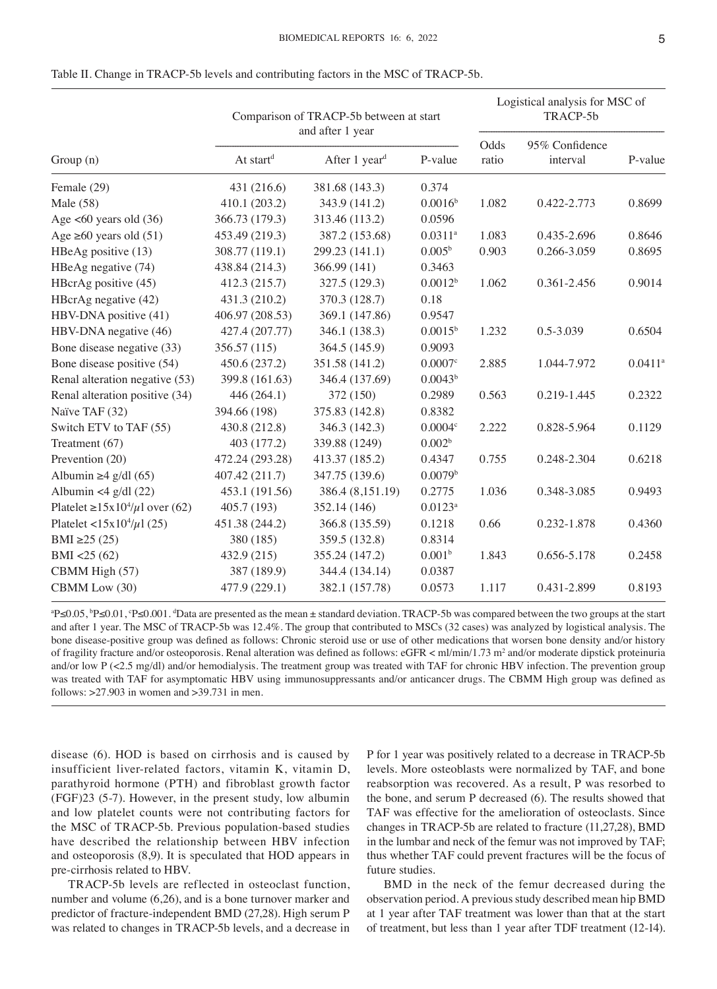|                                             |                       | Comparison of TRACP-5b between at start<br>and after 1 year | Logistical analysis for MSC of<br>TRACP-5b |               |                            |                       |
|---------------------------------------------|-----------------------|-------------------------------------------------------------|--------------------------------------------|---------------|----------------------------|-----------------------|
| Group(n)                                    | At start <sup>d</sup> | After 1 year <sup>d</sup>                                   | P-value                                    | Odds<br>ratio | 95% Confidence<br>interval | P-value               |
| Female (29)                                 | 431 (216.6)           | 381.68 (143.3)                                              | 0.374                                      |               |                            |                       |
| Male (58)                                   | 410.1 (203.2)         | 343.9 (141.2)                                               | 0.0016 <sup>b</sup>                        | 1.082         | 0.422-2.773                | 0.8699                |
| Age $<60$ years old $(36)$                  | 366.73 (179.3)        | 313.46 (113.2)                                              | 0.0596                                     |               |                            |                       |
| Age $\geq 60$ years old (51)                | 453.49 (219.3)        | 387.2 (153.68)                                              | $0.0311$ <sup>a</sup>                      | 1.083         | 0.435-2.696                | 0.8646                |
| HBeAg positive (13)                         | 308.77 (119.1)        | 299.23 (141.1)                                              | 0.005 <sup>b</sup>                         | 0.903         | 0.266-3.059                | 0.8695                |
| HBeAg negative (74)                         | 438.84 (214.3)        | 366.99 (141)                                                | 0.3463                                     |               |                            |                       |
| HBcrAg positive (45)                        | 412.3 (215.7)         | 327.5 (129.3)                                               | 0.0012 <sup>b</sup>                        | 1.062         | 0.361-2.456                | 0.9014                |
| HBcrAg negative (42)                        | 431.3 (210.2)         | 370.3 (128.7)                                               | 0.18                                       |               |                            |                       |
| HBV-DNA positive (41)                       | 406.97 (208.53)       | 369.1 (147.86)                                              | 0.9547                                     |               |                            |                       |
| HBV-DNA negative (46)                       | 427.4 (207.77)        | 346.1 (138.3)                                               | $0.0015^{b}$                               | 1.232         | 0.5-3.039                  | 0.6504                |
| Bone disease negative (33)                  | 356.57 (115)          | 364.5 (145.9)                                               | 0.9093                                     |               |                            |                       |
| Bone disease positive (54)                  | 450.6 (237.2)         | 351.58 (141.2)                                              | $0.0007$ c                                 | 2.885         | 1.044-7.972                | $0.0411$ <sup>a</sup> |
| Renal alteration negative (53)              | 399.8 (161.63)        | 346.4 (137.69)                                              | 0.0043 <sup>b</sup>                        |               |                            |                       |
| Renal alteration positive (34)              | 446 (264.1)           | 372 (150)                                                   | 0.2989                                     | 0.563         | 0.219-1.445                | 0.2322                |
| Naïve TAF (32)                              | 394.66 (198)          | 375.83 (142.8)                                              | 0.8382                                     |               |                            |                       |
| Switch ETV to TAF (55)                      | 430.8 (212.8)         | 346.3 (142.3)                                               | 0.0004c                                    | 2.222         | 0.828-5.964                | 0.1129                |
| Treatment (67)                              | 403 (177.2)           | 339.88 (1249)                                               | 0.002 <sup>b</sup>                         |               |                            |                       |
| Prevention (20)                             | 472.24 (293.28)       | 413.37 (185.2)                                              | 0.4347                                     | 0.755         | 0.248-2.304                | 0.6218                |
| Albumin $\geq 4$ g/dl (65)                  | 407.42 (211.7)        | 347.75 (139.6)                                              | 0.0079 <sup>b</sup>                        |               |                            |                       |
| Albumin <4 $g/dl$ (22)                      | 453.1 (191.56)        | 386.4 (8,151.19)                                            | 0.2775                                     | 1.036         | 0.348-3.085                | 0.9493                |
| Platelet $\geq 15x10^4/\mu l$ over (62)     | 405.7 (193)           | 352.14 (146)                                                | $0.0123$ <sup>a</sup>                      |               |                            |                       |
| Platelet <15x10 <sup>4</sup> / $\mu$ 1 (25) | 451.38 (244.2)        | 366.8 (135.59)                                              | 0.1218                                     | 0.66          | 0.232-1.878                | 0.4360                |
| BMI $\geq$ 25 (25)                          | 380 (185)             | 359.5 (132.8)                                               | 0.8314                                     |               |                            |                       |
| BMI < 25(62)                                | 432.9 (215)           | 355.24 (147.2)                                              | 0.001 <sup>b</sup>                         | 1.843         | 0.656-5.178                | 0.2458                |
| CBMM High (57)                              | 387 (189.9)           | 344.4 (134.14)                                              | 0.0387                                     |               |                            |                       |
| CBMM Low (30)                               | 477.9 (229.1)         | 382.1 (157.78)                                              | 0.0573                                     | 1.117         | 0.431-2.899                | 0.8193                |

Table II. Change in TRACP-5b levels and contributing factors in the MSC of TRACP-5b.

<sup>a</sup>P≤0.05, <sup>b</sup>P≤0.01, <sup>c</sup>P≤0.001. <sup>d</sup>Data are presented as the mean ± standard deviation. TRACP-5b was compared between the two groups at the start and after 1 year. The MSC of TRACP-5b was 12.4%. The group that contributed to MSCs (32 cases) was analyzed by logistical analysis. The bone disease‑positive group was defined as follows: Chronic steroid use or use of other medications that worsen bone density and/or history of fragility fracture and/or osteoporosis. Renal alteration was defined as follows: eGFR < ml/min/1.73 m<sup>2</sup> and/or moderate dipstick proteinuria and/or low P (<2.5 mg/dl) and/or hemodialysis. The treatment group was treated with TAF for chronic HBV infection. The prevention group was treated with TAF for asymptomatic HBV using immunosuppressants and/or anticancer drugs. The CBMM High group was defined as follows: >27.903 in women and >39.731 in men.

disease (6). HOD is based on cirrhosis and is caused by insufficient liver-related factors, vitamin K, vitamin D, parathyroid hormone (PTH) and fibroblast growth factor (FGF)23 (5‑7). However, in the present study, low albumin and low platelet counts were not contributing factors for the MSC of TRACP-5b. Previous population-based studies have described the relationship between HBV infection and osteoporosis (8,9). It is speculated that HOD appears in pre‑cirrhosis related to HBV.

TRACP‑5b levels are reflected in osteoclast function, number and volume (6,26), and is a bone turnover marker and predictor of fracture-independent BMD (27,28). High serum P was related to changes in TRACP‑5b levels, and a decrease in P for 1 year was positively related to a decrease in TRACP‑5b levels. More osteoblasts were normalized by TAF, and bone reabsorption was recovered. As a result, P was resorbed to the bone, and serum P decreased (6). The results showed that TAF was effective for the amelioration of osteoclasts. Since changes in TRACP‑5b are related to fracture (11,27,28), BMD in the lumbar and neck of the femur was not improved by TAF; thus whether TAF could prevent fractures will be the focus of future studies.

BMD in the neck of the femur decreased during the observation period. A previous study described mean hip BMD at 1 year after TAF treatment was lower than that at the start of treatment, but less than 1 year after TDF treatment (12‑14).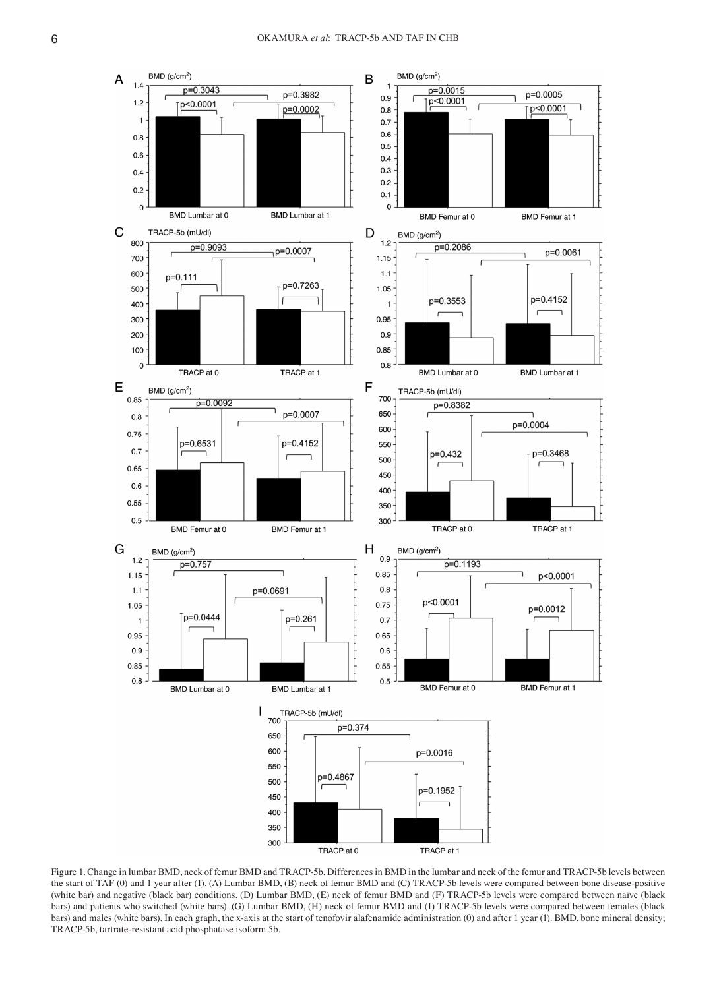

Figure 1. Change in lumbar BMD, neck of femur BMD and TRACP‑5b. Differences in BMD in the lumbar and neck of the femur and TRACP‑5b levels between the start of TAF (0) and 1 year after (1). (A) Lumbar BMD, (B) neck of femur BMD and (C) TRACP-5b levels were compared between bone disease-positive (white bar) and negative (black bar) conditions. (D) Lumbar BMD, (E) neck of femur BMD and (F) TRACP‑5b levels were compared between naïve (black bars) and patients who switched (white bars). (G) Lumbar BMD, (H) neck of femur BMD and (I) TRACP-5b levels were compared between females (black bars) and males (white bars). In each graph, the x-axis at the start of tenofovir alafenamide administration (0) and after 1 year (1). BMD, bone mineral density; TRACP‑5b, tartrate‑resistant acid phosphatase isoform 5b.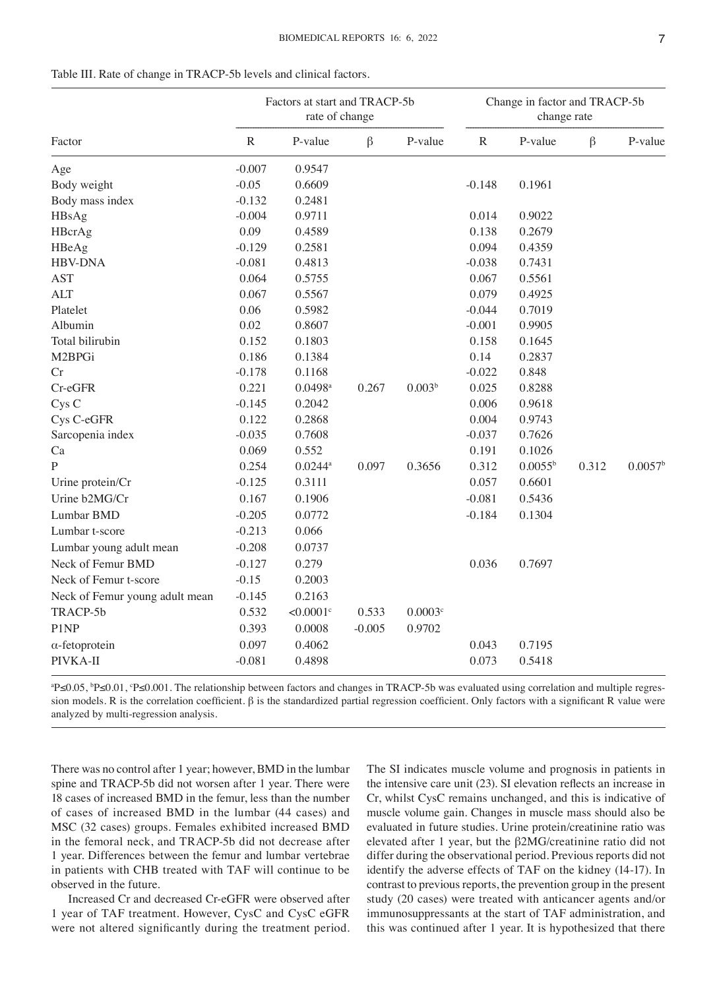|                                | Factors at start and TRACP-5b<br>rate of change |                         |          | Change in factor and TRACP-5b<br>change rate |           |                  |         |                     |
|--------------------------------|-------------------------------------------------|-------------------------|----------|----------------------------------------------|-----------|------------------|---------|---------------------|
| Factor                         | ${\bf R}$                                       | P-value                 | $\beta$  | P-value                                      | ${\bf R}$ | P-value          | $\beta$ | P-value             |
| Age                            | $-0.007$                                        | 0.9547                  |          |                                              |           |                  |         |                     |
| Body weight                    | $-0.05$                                         | 0.6609                  |          |                                              | $-0.148$  | 0.1961           |         |                     |
| Body mass index                | $-0.132$                                        | 0.2481                  |          |                                              |           |                  |         |                     |
| HBsAg                          | $-0.004$                                        | 0.9711                  |          |                                              | 0.014     | 0.9022           |         |                     |
| HBcrAg                         | 0.09                                            | 0.4589                  |          |                                              | 0.138     | 0.2679           |         |                     |
| HBeAg                          | $-0.129$                                        | 0.2581                  |          |                                              | 0.094     | 0.4359           |         |                     |
| <b>HBV-DNA</b>                 | $-0.081$                                        | 0.4813                  |          |                                              | $-0.038$  | 0.7431           |         |                     |
| <b>AST</b>                     | 0.064                                           | 0.5755                  |          |                                              | 0.067     | 0.5561           |         |                     |
| <b>ALT</b>                     | 0.067                                           | 0.5567                  |          |                                              | 0.079     | 0.4925           |         |                     |
| Platelet                       | 0.06                                            | 0.5982                  |          |                                              | $-0.044$  | 0.7019           |         |                     |
| Albumin                        | 0.02                                            | 0.8607                  |          |                                              | $-0.001$  | 0.9905           |         |                     |
| Total bilirubin                | 0.152                                           | 0.1803                  |          |                                              | 0.158     | 0.1645           |         |                     |
| M2BPGi                         | 0.186                                           | 0.1384                  |          |                                              | 0.14      | 0.2837           |         |                     |
| Cr                             | $-0.178$                                        | 0.1168                  |          |                                              | $-0.022$  | 0.848            |         |                     |
| Cr-eGFR                        | 0.221                                           | $0.0498$ <sup>a</sup>   | 0.267    | 0.003 <sup>b</sup>                           | 0.025     | 0.8288           |         |                     |
| Cys <sub>C</sub>               | $-0.145$                                        | 0.2042                  |          |                                              | 0.006     | 0.9618           |         |                     |
| Cys C-eGFR                     | 0.122                                           | 0.2868                  |          |                                              | 0.004     | 0.9743           |         |                     |
| Sarcopenia index               | $-0.035$                                        | 0.7608                  |          |                                              | $-0.037$  | 0.7626           |         |                     |
| Ca                             | 0.069                                           | 0.552                   |          |                                              | 0.191     | 0.1026           |         |                     |
| P                              | 0.254                                           | $0.0244^{\mathrm{a}}$   | 0.097    | 0.3656                                       | 0.312     | $0.0055^{\rm b}$ | 0.312   | 0.0057 <sup>b</sup> |
| Urine protein/Cr               | $-0.125$                                        | 0.3111                  |          |                                              | 0.057     | 0.6601           |         |                     |
| Urine b2MG/Cr                  | 0.167                                           | 0.1906                  |          |                                              | $-0.081$  | 0.5436           |         |                     |
| Lumbar BMD                     | $-0.205$                                        | 0.0772                  |          |                                              | $-0.184$  | 0.1304           |         |                     |
| Lumbar t-score                 | $-0.213$                                        | 0.066                   |          |                                              |           |                  |         |                     |
| Lumbar young adult mean        | $-0.208$                                        | 0.0737                  |          |                                              |           |                  |         |                     |
| Neck of Femur BMD              | $-0.127$                                        | 0.279                   |          |                                              | 0.036     | 0.7697           |         |                     |
| Neck of Femur t-score          | $-0.15$                                         | 0.2003                  |          |                                              |           |                  |         |                     |
| Neck of Femur young adult mean | $-0.145$                                        | 0.2163                  |          |                                              |           |                  |         |                     |
| TRACP-5b                       | 0.532                                           | $< 0.0001$ <sup>c</sup> | 0.533    | 0.0003c                                      |           |                  |         |                     |
| P1NP                           | 0.393                                           | 0.0008                  | $-0.005$ | 0.9702                                       |           |                  |         |                     |
| $\alpha$ -fetoprotein          | 0.097                                           | 0.4062                  |          |                                              | 0.043     | 0.7195           |         |                     |
| PIVKA-II                       | $-0.081$                                        | 0.4898                  |          |                                              | 0.073     | 0.5418           |         |                     |

| Table III. Rate of change in TRACP-5b levels and clinical factors. |
|--------------------------------------------------------------------|
|--------------------------------------------------------------------|

<sup>a</sup>P≤0.05, <sup>b</sup>P≤0.01, °P≤0.001. The relationship between factors and changes in TRACP-5b was evaluated using correlation and multiple regression models. R is the correlation coefficient. β is the standardized partial regression coefficient. Only factors with a significant R value were analyzed by multi‑regression analysis.

There was no control after 1 year; however, BMD in the lumbar spine and TRACP‑5b did not worsen after 1 year. There were 18 cases of increased BMD in the femur, less than the number of cases of increased BMD in the lumbar (44 cases) and MSC (32 cases) groups. Females exhibited increased BMD in the femoral neck, and TRACP‑5b did not decrease after 1 year. Differences between the femur and lumbar vertebrae in patients with CHB treated with TAF will continue to be observed in the future.

Increased Cr and decreased Cr‑eGFR were observed after 1 year of TAF treatment. However, CysC and CysC eGFR were not altered significantly during the treatment period. The SI indicates muscle volume and prognosis in patients in the intensive care unit (23). SI elevation reflects an increase in Cr, whilst CysC remains unchanged, and this is indicative of muscle volume gain. Changes in muscle mass should also be evaluated in future studies. Urine protein/creatinine ratio was elevated after 1 year, but the β2MG/creatinine ratio did not differ during the observational period. Previous reports did not identify the adverse effects of TAF on the kidney (14‑17). In contrast to previous reports, the prevention group in the present study (20 cases) were treated with anticancer agents and/or immunosuppressants at the start of TAF administration, and this was continued after 1 year. It is hypothesized that there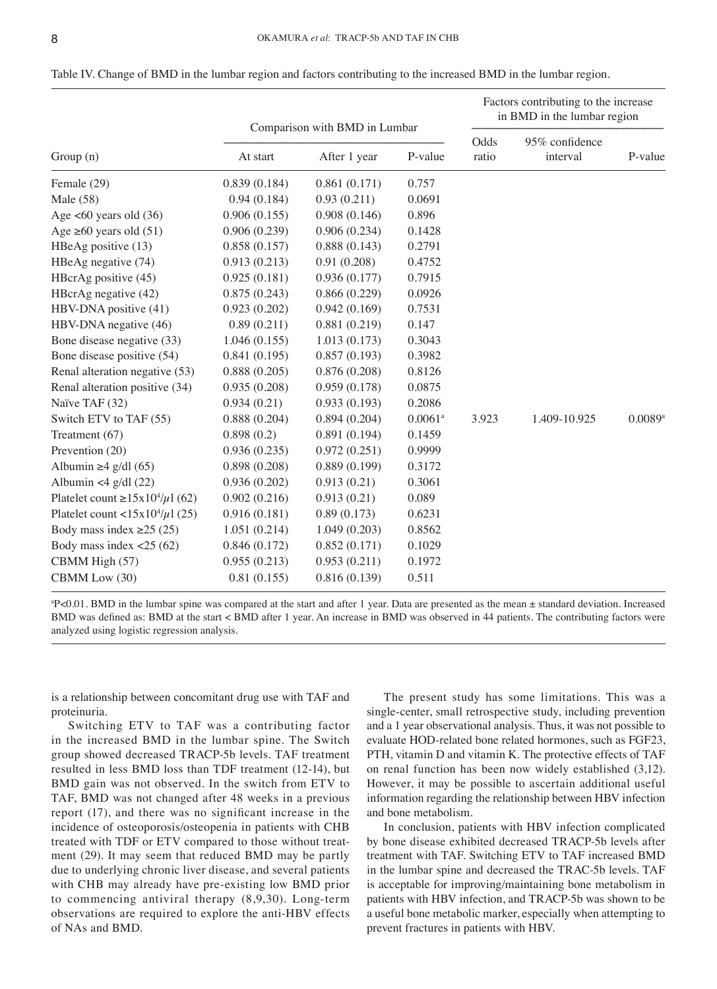|                                                   | Comparison with BMD in Lumbar |              |                       | Factors contributing to the increase<br>in BMD in the lumbar region |                            |         |  |
|---------------------------------------------------|-------------------------------|--------------|-----------------------|---------------------------------------------------------------------|----------------------------|---------|--|
| Group(n)                                          | At start                      | After 1 year | P-value               | Odds<br>ratio                                                       | 95% confidence<br>interval | P-value |  |
| Female (29)                                       | 0.839(0.184)                  | 0.861(0.171) | 0.757                 |                                                                     |                            |         |  |
| Male (58)                                         | 0.94(0.184)                   | 0.93(0.211)  | 0.0691                |                                                                     |                            |         |  |
| Age $<60$ years old $(36)$                        | 0.906(0.155)                  | 0.908(0.146) | 0.896                 |                                                                     |                            |         |  |
| Age $\geq 60$ years old (51)                      | 0.906(0.239)                  | 0.906(0.234) | 0.1428                |                                                                     |                            |         |  |
| HBeAg positive (13)                               | 0.858(0.157)                  | 0.888(0.143) | 0.2791                |                                                                     |                            |         |  |
| HBeAg negative (74)                               | 0.913(0.213)                  | 0.91(0.208)  | 0.4752                |                                                                     |                            |         |  |
| HBcrAg positive (45)                              | 0.925(0.181)                  | 0.936(0.177) | 0.7915                |                                                                     |                            |         |  |
| HBcrAg negative (42)                              | 0.875(0.243)                  | 0.866(0.229) | 0.0926                |                                                                     |                            |         |  |
| HBV-DNA positive (41)                             | 0.923(0.202)                  | 0.942(0.169) | 0.7531                |                                                                     |                            |         |  |
| HBV-DNA negative (46)                             | 0.89(0.211)                   | 0.881(0.219) | 0.147                 |                                                                     |                            |         |  |
| Bone disease negative (33)                        | 1.046(0.155)                  | 1.013(0.173) | 0.3043                |                                                                     |                            |         |  |
| Bone disease positive (54)                        | 0.841(0.195)                  | 0.857(0.193) | 0.3982                |                                                                     |                            |         |  |
| Renal alteration negative (53)                    | 0.888(0.205)                  | 0.876(0.208) | 0.8126                |                                                                     |                            |         |  |
| Renal alteration positive (34)                    | 0.935(0.208)                  | 0.959(0.178) | 0.0875                |                                                                     |                            |         |  |
| Naïve TAF (32)                                    | 0.934(0.21)                   | 0.933(0.193) | 0.2086                |                                                                     |                            |         |  |
| Switch ETV to TAF (55)                            | 0.888(0.204)                  | 0.894(0.204) | $0.0061$ <sup>a</sup> | 3.923                                                               | 1.409-10.925               | 0.0089a |  |
| Treatment (67)                                    | 0.898(0.2)                    | 0.891(0.194) | 0.1459                |                                                                     |                            |         |  |
| Prevention (20)                                   | 0.936(0.235)                  | 0.972(0.251) | 0.9999                |                                                                     |                            |         |  |
| Albumin $\geq 4$ g/dl (65)                        | 0.898(0.208)                  | 0.889(0.199) | 0.3172                |                                                                     |                            |         |  |
| Albumin <4 $g/dl$ (22)                            | 0.936(0.202)                  | 0.913(0.21)  | 0.3061                |                                                                     |                            |         |  |
| Platelet count $\geq 15x10^4/\mu$ l (62)          | 0.902(0.216)                  | 0.913(0.21)  | 0.089                 |                                                                     |                            |         |  |
| Platelet count <15x10 <sup>4</sup> / $\mu$ 1 (25) | 0.916(0.181)                  | 0.89(0.173)  | 0.6231                |                                                                     |                            |         |  |
| Body mass index $\geq$ 25 (25)                    | 1.051(0.214)                  | 1.049(0.203) | 0.8562                |                                                                     |                            |         |  |
| Body mass index $\langle 25 (62)$                 | 0.846(0.172)                  | 0.852(0.171) | 0.1029                |                                                                     |                            |         |  |
| CBMM High (57)                                    | 0.955(0.213)                  | 0.953(0.211) | 0.1972                |                                                                     |                            |         |  |
| CBMM Low (30)                                     | 0.81(0.155)                   | 0.816(0.139) | 0.511                 |                                                                     |                            |         |  |

Table IV. Change of BMD in the lumbar region and factors contributing to the increased BMD in the lumbar region.

a P<0.01. BMD in the lumbar spine was compared at the start and after 1 year. Data are presented as the mean ± standard deviation. Increased BMD was defined as: BMD at the start < BMD after 1 year. An increase in BMD was observed in 44 patients. The contributing factors were analyzed using logistic regression analysis.

is a relationship between concomitant drug use with TAF and proteinuria.

Switching ETV to TAF was a contributing factor in the increased BMD in the lumbar spine. The Switch group showed decreased TRACP‑5b levels. TAF treatment resulted in less BMD loss than TDF treatment (12‑14), but BMD gain was not observed. In the switch from ETV to TAF, BMD was not changed after 48 weeks in a previous report (17), and there was no significant increase in the incidence of osteoporosis/osteopenia in patients with CHB treated with TDF or ETV compared to those without treatment (29). It may seem that reduced BMD may be partly due to underlying chronic liver disease, and several patients with CHB may already have pre‑existing low BMD prior to commencing antiviral therapy (8,9,30). Long-term observations are required to explore the anti‑HBV effects of NAs and BMD.

The present study has some limitations. This was a single-center, small retrospective study, including prevention and a 1 year observational analysis. Thus, it was not possible to evaluate HOD‑related bone related hormones, such as FGF23, PTH, vitamin D and vitamin K. The protective effects of TAF on renal function has been now widely established (3,12). However, it may be possible to ascertain additional useful information regarding the relationship between HBV infection and bone metabolism.

In conclusion, patients with HBV infection complicated by bone disease exhibited decreased TRACP‑5b levels after treatment with TAF. Switching ETV to TAF increased BMD in the lumbar spine and decreased the TRAC‑5b levels. TAF is acceptable for improving/maintaining bone metabolism in patients with HBV infection, and TRACP‑5b was shown to be a useful bone metabolic marker, especially when attempting to prevent fractures in patients with HBV.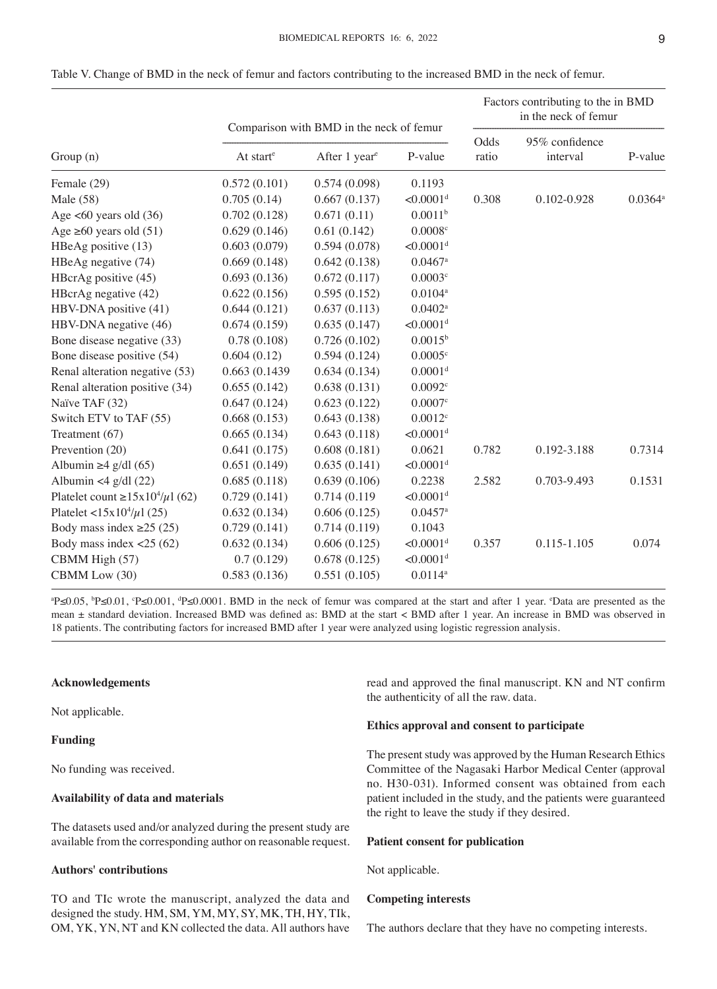|    | I | I |
|----|---|---|
| v. | ۹ |   |

|                                             | Comparison with BMD in the neck of femur |                           |                         | Factors contributing to the in BMD<br>in the neck of femur |                            |                  |  |
|---------------------------------------------|------------------------------------------|---------------------------|-------------------------|------------------------------------------------------------|----------------------------|------------------|--|
| Group (n)                                   | At start <sup>e</sup>                    | After 1 year <sup>e</sup> | P-value                 | Odds<br>ratio                                              | 95% confidence<br>interval | P-value          |  |
| Female (29)                                 | 0.572(0.101)                             | 0.574(0.098)              | 0.1193                  |                                                            |                            |                  |  |
| Male (58)                                   | 0.705(0.14)                              | 0.667(0.137)              | $< 0.0001$ <sup>d</sup> | 0.308                                                      | 0.102-0.928                | $0.0364^{\rm a}$ |  |
| Age $<60$ years old $(36)$                  | 0.702(0.128)                             | 0.671(0.11)               | 0.0011 <sup>b</sup>     |                                                            |                            |                  |  |
| Age $\geq 60$ years old (51)                | 0.629(0.146)                             | 0.61(0.142)               | 0.0008c                 |                                                            |                            |                  |  |
| HBeAg positive (13)                         | 0.603(0.079)                             | 0.594(0.078)              | $< 0.0001$ <sup>d</sup> |                                                            |                            |                  |  |
| HBeAg negative (74)                         | 0.669(0.148)                             | 0.642(0.138)              | $0.0467$ <sup>a</sup>   |                                                            |                            |                  |  |
| HBcrAg positive (45)                        | 0.693(0.136)                             | 0.672(0.117)              | 0.0003c                 |                                                            |                            |                  |  |
| HBcrAg negative (42)                        | 0.622(0.156)                             | 0.595(0.152)              | $0.0104^a$              |                                                            |                            |                  |  |
| HBV-DNA positive (41)                       | 0.644(0.121)                             | 0.637(0.113)              | $0.0402^a$              |                                                            |                            |                  |  |
| HBV-DNA negative (46)                       | 0.674(0.159)                             | 0.635(0.147)              | $< 0.0001$ <sup>d</sup> |                                                            |                            |                  |  |
| Bone disease negative (33)                  | 0.78(0.108)                              | 0.726(0.102)              | $0.0015^{\rm b}$        |                                                            |                            |                  |  |
| Bone disease positive (54)                  | 0.604(0.12)                              | 0.594(0.124)              | 0.0005c                 |                                                            |                            |                  |  |
| Renal alteration negative (53)              | 0.663 (0.1439)                           | 0.634(0.134)              | 0.0001 <sup>d</sup>     |                                                            |                            |                  |  |
| Renal alteration positive (34)              | 0.655(0.142)                             | 0.638(0.131)              | 0.0092c                 |                                                            |                            |                  |  |
| Naïve TAF (32)                              | 0.647(0.124)                             | 0.623(0.122)              | 0.0007c                 |                                                            |                            |                  |  |
| Switch ETV to TAF (55)                      | 0.668(0.153)                             | 0.643(0.138)              | $0.0012^c$              |                                                            |                            |                  |  |
| Treatment (67)                              | 0.665(0.134)                             | 0.643(0.118)              | $< 0.0001$ <sup>d</sup> |                                                            |                            |                  |  |
| Prevention (20)                             | 0.641(0.175)                             | 0.608(0.181)              | 0.0621                  | 0.782                                                      | 0.192-3.188                | 0.7314           |  |
| Albumin $\geq 4$ g/dl (65)                  | 0.651(0.149)                             | 0.635(0.141)              | $< 0.0001$ <sup>d</sup> |                                                            |                            |                  |  |
| Albumin <4 $g/dl$ (22)                      | 0.685(0.118)                             | 0.639(0.106)              | 0.2238                  | 2.582                                                      | 0.703-9.493                | 0.1531           |  |
| Platelet count $\geq 15x10^4/\mu$ 1 (62)    | 0.729(0.141)                             | 0.714 (0.119)             | $< 0.0001$ <sup>d</sup> |                                                            |                            |                  |  |
| Platelet <15x10 <sup>4</sup> / $\mu$ 1 (25) | 0.632(0.134)                             | 0.606(0.125)              | $0.0457$ <sup>a</sup>   |                                                            |                            |                  |  |
| Body mass index $\geq$ 25 (25)              | 0.729(0.141)                             | 0.714(0.119)              | 0.1043                  |                                                            |                            |                  |  |
| Body mass index $<$ 25 (62)                 | 0.632(0.134)                             | 0.606(0.125)              | $< 0.0001$ <sup>d</sup> | 0.357                                                      | 0.115-1.105                | 0.074            |  |
| CBMM High (57)                              | 0.7(0.129)                               | 0.678(0.125)              | $< 0.0001$ <sup>d</sup> |                                                            |                            |                  |  |
| CBMM Low (30)                               | 0.583(0.136)                             | 0.551(0.105)              | $0.0114^{a}$            |                                                            |                            |                  |  |

Table V. Change of BMD in the neck of femur and factors contributing to the increased BMD in the neck of femur.

<sup>a</sup>P≤0.05, <sup>b</sup>P≤0.01, °P≤0.001, <sup>d</sup>P≤0.0001. BMD in the neck of femur was compared at the start and after 1 year. °Data are presented as the mean ± standard deviation. Increased BMD was defined as: BMD at the start < BMD after 1 year. An increase in BMD was observed in 18 patients. The contributing factors for increased BMD after 1 year were analyzed using logistic regression analysis.

## **Acknowledgements**

Not applicable.

## **Funding**

No funding was received.

## **Availability of data and materials**

The datasets used and/or analyzed during the present study are available from the corresponding author on reasonable request.

## **Authors' contributions**

TO and TIc wrote the manuscript, analyzed the data and designed the study. HM, SM, YM, MY, SY, MK, TH, HY, TIk, OM, YK, YN, NT and KN collected the data. All authors have read and approved the final manuscript. KN and NT confirm the authenticity of all the raw. data.

#### **Ethics approval and consent to participate**

The present study was approved by the Human Research Ethics Committee of the Nagasaki Harbor Medical Center (approval no. H30‑031). Informed consent was obtained from each patient included in the study, and the patients were guaranteed the right to leave the study if they desired.

#### **Patient consent for publication**

Not applicable.

## **Competing interests**

The authors declare that they have no competing interests.